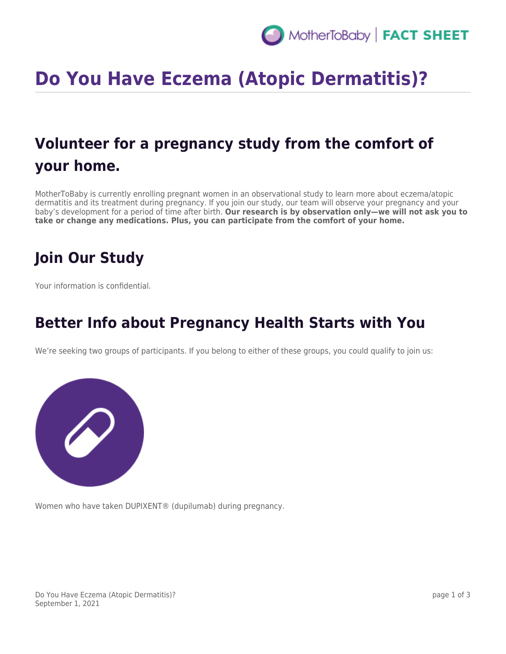# **Do You Have Eczema (Atopic Dermatitis)?**

## **Volunteer for a pregnancy study from the comfort of your home.**

MotherToBaby is currently enrolling pregnant women in an observational study to learn more about eczema/atopic dermatitis and its treatment during pregnancy. If you join our study, our team will observe your pregnancy and your baby's development for a period of time after birth. **Our research is by observation only—we will not ask you to take or change any medications. Plus, you can participate from the comfort of your home.**

### **Join Our Study**

Your information is confidential.

#### **Better Info about Pregnancy Health Starts with You**

We're seeking two groups of participants. If you belong to either of these groups, you could qualify to join us:



Women who have taken DUPIXENT® (dupilumab) during pregnancy.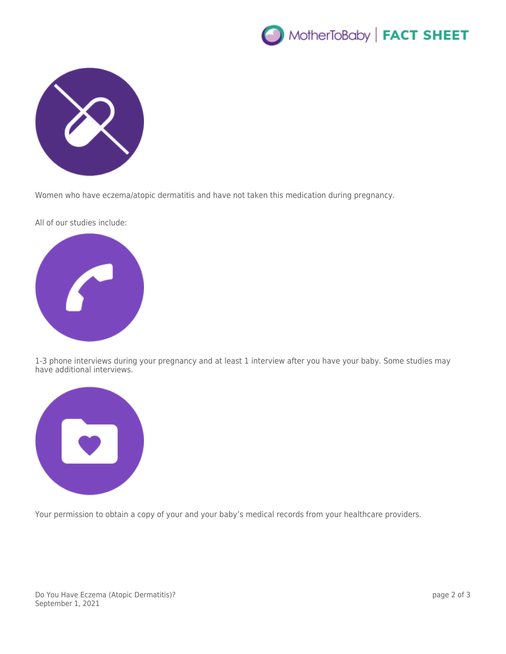



Women who have eczema/atopic dermatitis and have not taken this medication during pregnancy.

All of our studies include:



1-3 phone interviews during your pregnancy and at least 1 interview after you have your baby. Some studies may have additional interviews.



Your permission to obtain a copy of your and your baby's medical records from your healthcare providers.